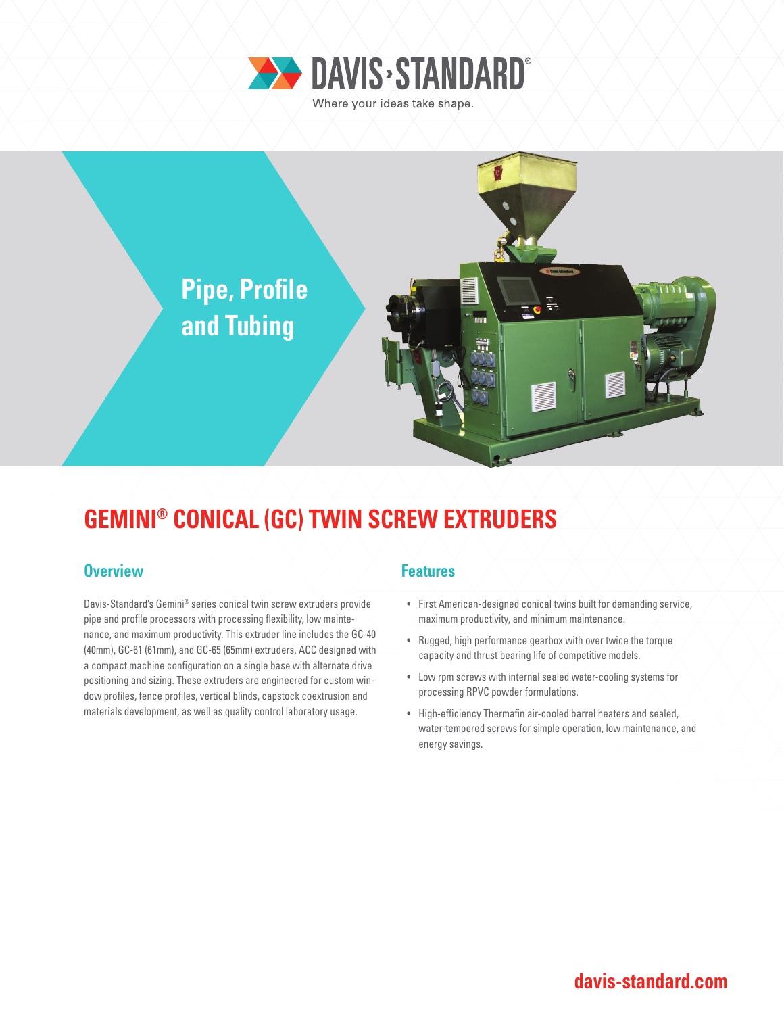



## **GEMINI® CONICAL (GC) TWIN SCREW EXTRUDERS**

### **Overview Allenting Allen Allen Allen Allen Features**

Davis-Standard's Gemini® series conical twin screw extruders provide pipe and profile processors with processing flexibility, low maintenance, and maximum productivity. This extruder line includes the GC-40 (40mm), GC-61 (61mm), and GC-65 (65mm) extruders, ACC designed with a compact machine configuration on a single base with alternate drive positioning and sizing. These extruders are engineered for custom window profiles, fence profiles, vertical blinds, capstock coextrusion and materials development, as well as quality control laboratory usage.

- First American-designed conical twins built for demanding service, maximum productivity, and minimum maintenance.
- Rugged, high performance gearbox with over twice the torque capacity and thrust bearing life of competitive models.
- Low rpm screws with internal sealed water-cooling systems for processing RPVC powder formulations.
- High-efficiency Thermafin air-cooled barrel heaters and sealed, water-tempered screws for simple operation, low maintenance, and energy savings.

### **davis-standard.com**